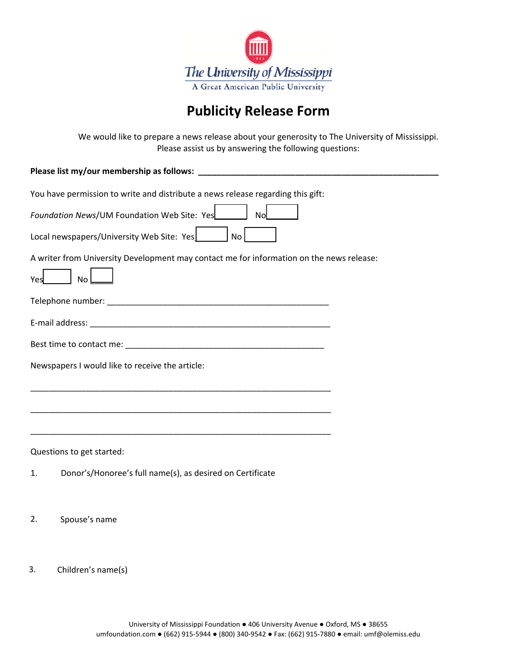

## **Publicity Release Form**

We would like to prepare a news release about your generosity to The University of Mississippi. Please assist us by answering the following questions:

**Please list my/our membership as follows: \_\_\_\_\_\_\_\_\_\_\_\_\_\_\_\_\_\_\_\_\_\_\_\_\_\_\_\_\_\_\_\_\_\_\_\_\_\_\_\_\_\_\_\_\_\_\_\_\_\_\_\_**

You have permission to write and distribute a news release regarding this gift:

| Foundation News/UM Foundation Web Site: Yes |      |  |  |
|---------------------------------------------|------|--|--|
| Local newspapers/University Web Site: Yes   | No l |  |  |

A writer from University Development may contact me for information on the news release:



| Telephone number: |  |
|-------------------|--|
|                   |  |

| E-mail address: |  |
|-----------------|--|
|                 |  |

\_\_\_\_\_\_\_\_\_\_\_\_\_\_\_\_\_\_\_\_\_\_\_\_\_\_\_\_\_\_\_\_\_\_\_\_\_\_\_\_\_\_\_\_\_\_\_\_\_\_\_\_\_\_\_\_\_\_\_\_\_\_\_\_\_

\_\_\_\_\_\_\_\_\_\_\_\_\_\_\_\_\_\_\_\_\_\_\_\_\_\_\_\_\_\_\_\_\_\_\_\_\_\_\_\_\_\_\_\_\_\_\_\_\_\_\_\_\_\_\_\_\_\_\_\_\_\_\_\_\_

\_\_\_\_\_\_\_\_\_\_\_\_\_\_\_\_\_\_\_\_\_\_\_\_\_\_\_\_\_\_\_\_\_\_\_\_\_\_\_\_\_\_\_\_\_\_\_\_\_\_\_\_\_\_\_\_\_\_\_\_\_\_\_\_\_

| Best time to contact me: |  |
|--------------------------|--|
|                          |  |

Newspapers I would like to receive the article:

Questions to get started:

- 1. Donor's/Honoree's full name(s), as desired on Certificate
- 2. Spouse's name

3. Children's name(s)